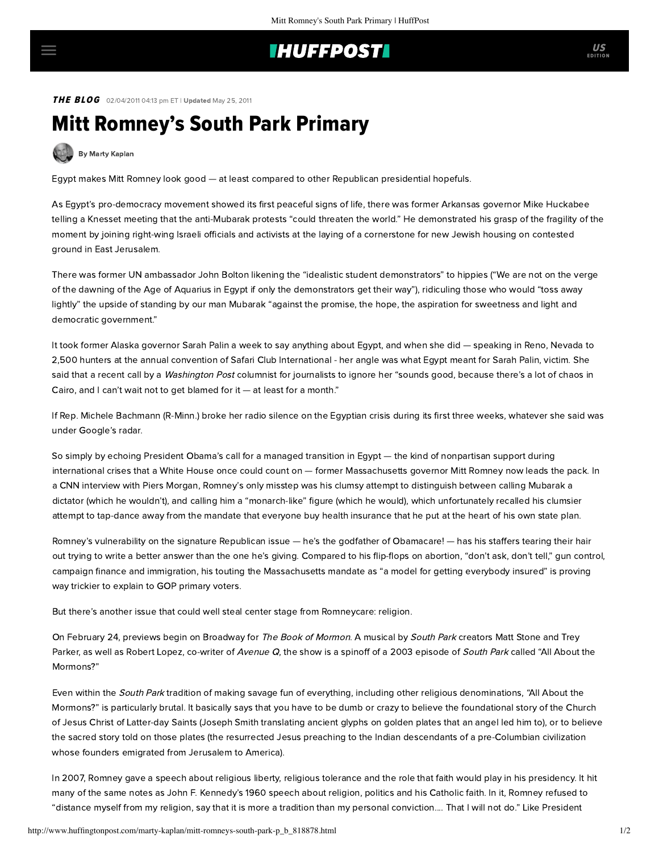## **IHUFFPOSTI**

THE BLOG 02/04/2011 04:13 pm ET | Updated May 25, 2011

## Mitt Romney's South Park Primary

[By Marty Kaplan](http://www.huffingtonpost.com/author/marty-kaplan)

Egypt makes Mitt Romney look good — at least compared to other Republican presidential hopefuls.

As Egypt's pro-democracy movement showed its first peaceful signs of life, there was former Arkansas governor Mike Huckabee [telling](http://www.salon.com/news/politics/war_room/2011/01/31/huckabee_on_egypt_protests/) a Knesset meeting that the anti-Mubarak protests "could threaten the world." He [demonstrated](http://www.nytimes.com/2011/02/03/world/middleeast/03israel.html?_r=1&scp=1&sq=isabel%20kershner&st=cse) his grasp of the fragility of the moment by joining right-wing Israeli officials and activists at the laying of a cornerstone for new Jewish housing on contested ground in East Jerusalem.

There was former UN ambassador John Bolton [likening](http://www.salon.com/news/politics/war_room/2011/02/03/mubarak_american_allies) the "idealistic student demonstrators" to hippies ("We are not on the verge of the dawning of the Age of Aquarius in Egypt if only the demonstrators get their way"), ridiculing those who would "toss away lightly" the upside of standing by our man Mubarak "against the promise, the hope, the aspiration for sweetness and light and democratic government."

It took former Alaska governor Sarah Palin a week to say anything about Egypt, and when she did — [speaking](http://www.thedailybeast.com/blogs-and-stories/2011-01-30/sarah-palins-gun-control-warnings-at-safari-club-international/) in Reno, Nevada to 2,500 hunters at the annual convention of Safari Club International - her angle was what Egypt meant for Sarah Palin, victim. She said that a recent call by a Washington Post columnist for journalists to ignore her "sounds good, because there's a lot of chaos in Cairo, and I can't wait not to get blamed for it — at least for a month."

If Rep. Michele Bachmann (R-Minn.) broke her radio silence on the Egyptian crisis during its first three weeks, whatever she said was under Google's radar.

So simply by echoing President Obama's call for a managed transition in Egypt — the kind of nonpartisan support during international crises that a White House once could count on — former Massachusetts governor Mitt Romney now leads the pack. In a [CNN interview](http://politicalticker.blogs.cnn.com/2011/02/01/romney-up-on-palin/) with Piers Morgan, Romney's only misstep was his clumsy attempt to distinguish between calling Mubarak a dictator (which he wouldn't), and calling him a "monarch-like" figure (which he would), which unfortunately recalled his clumsier [attempt](http://www.salon.com/news/opinion/joan_walsh/politics/2011/02/01/mitt_flip_flops/) to tap-dance away from the mandate that everyone buy health insurance that he put at the heart of his own state plan.

Romney's vulnerability on the signature Republican issue — he's the godfather of Obamacare! — has his staffers tearing their hair out trying to write a better answer than the one he's giving. Compared to his [flip-flops](http://www.washingtonpost.com/wp-dyn/content/article/2008/02/04/AR2008020402805.html) on abortion, "don't ask, don't tell," gun control, campaign finance and immigration, his touting the Massachusetts mandate as "a model for getting everybody insured" is proving way trickier to explain to GOP primary voters.

But there's another issue that could well steal center stage from Romneycare: religion.

On February 24, previews begin on Broadway for [The Book of Mormon](http://www.broadway.com/shows/book-mormon/buzz/154968/south-park-creators-matt-stone-and-trey-parker-spill-details-on-new-musical-the-book-of-mormon/). A musical by South Park creators Matt Stone and Trey [Parker, as well as Robert Lopez, co-writer of](http://www.southparkstudios.com/guide/episodes/s07e12-all-about-the-mormons) Avenue Q, the show is a spinoff of a 2003 episode of South Park called "All About the Mormons?"

Even within the South Park tradition of making savage fun of everything, including other religious denominations, "All About the Mormons?" is particularly brutal. It basically says that you have to be dumb or crazy to believe the foundational story of the Church of Jesus Christ of Latter-day Saints (Joseph Smith translating ancient glyphs on golden plates that an angel led him to), or to believe the sacred story told on those plates (the resurrected Jesus preaching to the Indian descendants of a pre-Columbian civilization whose founders emigrated from Jerusalem to America).

In 2007, Romney gave a [speech](http://www.npr.org/templates/story/story.php?storyId=16969460) about religious liberty, religious tolerance and the role that faith would play in his presidency. It hit many of the same notes as John F. Kennedy's 1960 speech about religion, politics and his Catholic faith. In it, Romney refused to "distance myself from my religion, say that it is more a tradition than my personal conviction.... That I will not do." Like President